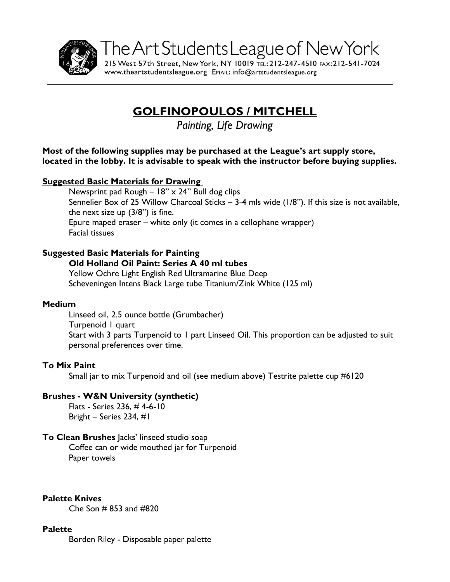

The Art Students League of New York 215 West 57th Street, New York, NY 10019 TEL: 212-247-4510 FAX: 212-541-7024

www.theartstudentsleague.org EMAIL: info@artstudentsleague.org

# **GOLFINOPOULOS / MITCHELL**

*Painting, Life Drawing*

**Most of the following supplies may be purchased at the League's art supply store, located in the lobby. It is advisable to speak with the instructor before buying supplies.** 

#### **Suggested Basic Materials for Drawing**

Newsprint pad Rough  $-18$ " x 24" Bull dog clips Sennelier Box of 25 Willow Charcoal Sticks – 3-4 mls wide (1/8"). If this size is not available, the next size up (3/8") is fine. Epure maped eraser – white only (it comes in a cellophane wrapper) Facial tissues

### **Suggested Basic Materials for Painting**

#### **Old Holland Oil Paint: Series A 40 ml tubes**

Yellow Ochre Light English Red Ultramarine Blue Deep Scheveningen Intens Black Large tube Titanium/Zink White (125 ml)

#### **Medium**

Linseed oil, 2.5 ounce bottle (Grumbacher) Turpenoid 1 quart Start with 3 parts Turpenoid to 1 part Linseed Oil. This proportion can be adjusted to suit personal preferences over time.

#### **To Mix Paint**

Small jar to mix Turpenoid and oil (see medium above) Testrite palette cup #6120

#### **Brushes - W&N University (synthetic)**

Flats - Series 236, # 4-6-10 Bright – Series 234, #1

#### **To Clean Brushes** Jacks' linseed studio soap

Coffee can or wide mouthed jar for Turpenoid Paper towels

**Palette Knives** 

 $Che$  Son  $#853$  and  $#820$ 

#### **Palette**

Borden Riley - Disposable paper palette